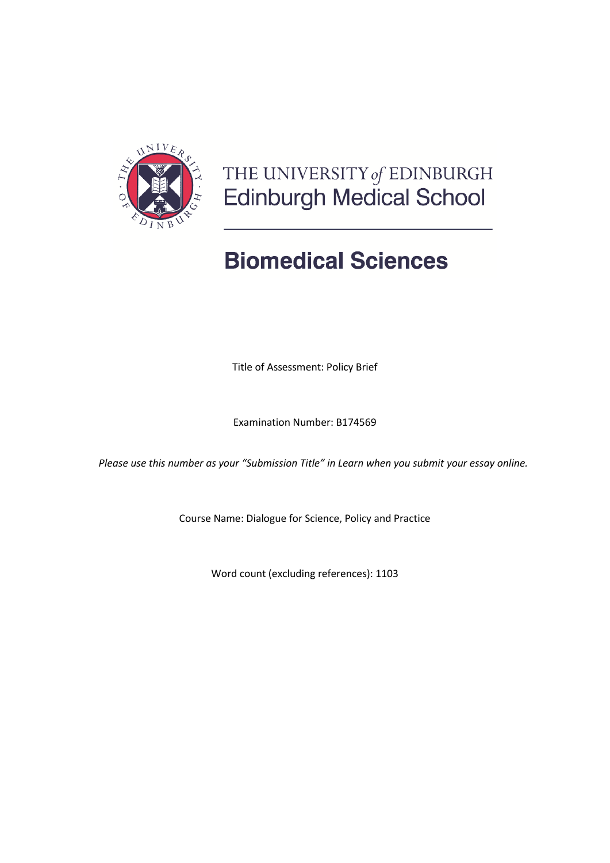

# THE UNIVERSITY of EDINBURGH<br>Edinburgh Medical School

# **Biomedical Sciences**

Title of Assessment: Policy Brief

Examination Number: B174569

*Please use this number as your "Submission Title" in Learn when you submit your essay online.*

Course Name: Dialogue for Science, Policy and Practice

Word count (excluding references): 1103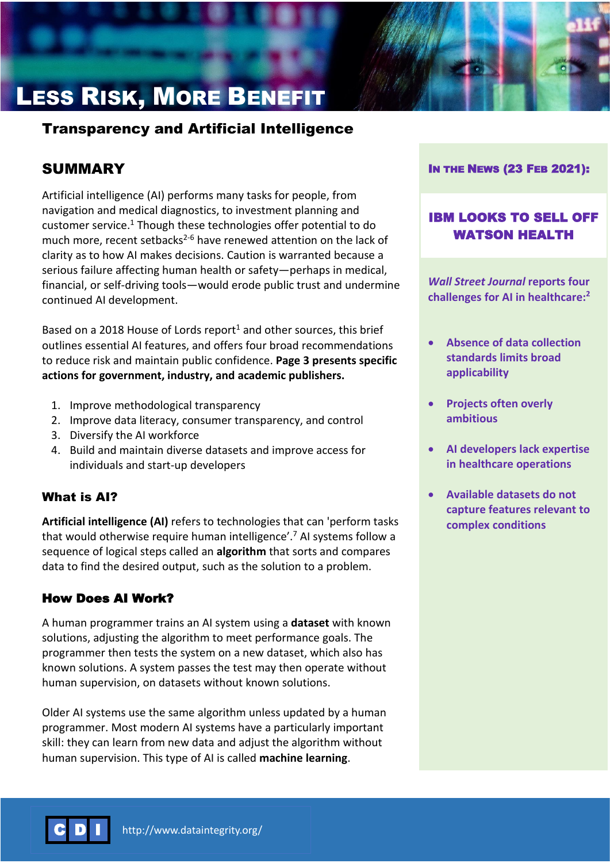# LESS RISK, MORE BENEFIT

# Transparency and Artificial Intelligence

# SUMMARY

Artificial intelligence (AI) performs many tasks for people, from navigation and medical diagnostics, to investment planning and customer service.<sup>1</sup> Though these technologies offer potential to do much more, recent setbacks<sup>2-6</sup> have renewed attention on the lack of clarity as to how AI makes decisions. Caution is warranted because a serious failure affecting human health or safety—perhaps in medical, financial, or self-driving tools—would erode public trust and undermine continued AI development.

Based on a 2018 House of Lords report<sup>1</sup> and other sources, this brief outlines essential AI features, and offers four broad recommendations to reduce risk and maintain public confidence. **Page 3 presents specific actions for government, industry, and academic publishers.**

- 1. Improve methodological transparency
- 2. Improve data literacy, consumer transparency, and control
- 3. Diversify the AI workforce
- 4. Build and maintain diverse datasets and improve access for individuals and start-up developers

### What is AI?

**Artificial intelligence (AI)** refers to technologies that can 'perform tasks that would otherwise require human intelligence'.<sup>7</sup> AI systems follow a sequence of logical steps called an **algorithm** that sorts and compares data to find the desired output, such as the solution to a problem.

# How Does AI Work?

A human programmer trains an AI system using a **dataset** with known solutions, adjusting the algorithm to meet performance goals. The programmer then tests the system on a new dataset, which also has known solutions. A system passes the test may then operate without human supervision, on datasets without known solutions.

Older AI systems use the same algorithm unless updated by a human programmer. Most modern AI systems have a particularly important skill: they can learn from new data and adjust the algorithm without human supervision. This type of AI is called **machine learning**.

#### IN THE NEWS (23 FEB 2021):

# IBM LOOKS TO SELL OFF WATSON HEALTH

*Wall Street Journal* **reports four challenges for AI in healthcare:<sup>2</sup>**

- **Absence of data collection standards limits broad applicability**
- **Projects often overly ambitious**
- **AI developers lack expertise in healthcare operations**
- **Available datasets do not capture features relevant to complex conditions**

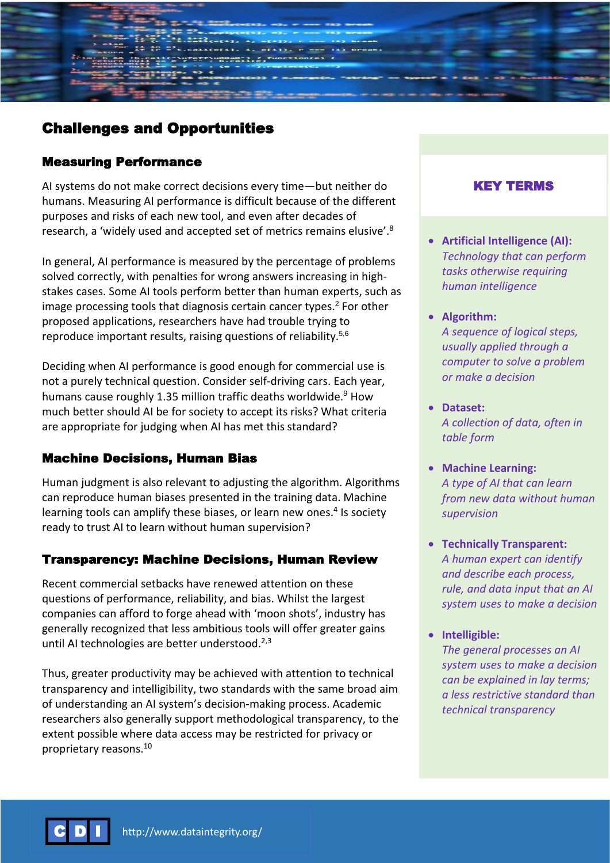# Challenges and Opportunities

## Measuring Performance

AI systems do not make correct decisions every time—but neither do humans. Measuring AI performance is difficult because of the different purposes and risks of each new tool, and even after decades of research, a 'widely used and accepted set of metrics remains elusive'.<sup>8</sup>

In general, AI performance is measured by the percentage of problems solved correctly, with penalties for wrong answers increasing in highstakes cases. Some AI tools perform better than human experts, such as image processing tools that diagnosis certain cancer types.<sup>2</sup> For other proposed applications, researchers have had trouble trying to reproduce important results, raising questions of reliability.<sup>5,6</sup>

Deciding when AI performance is good enough for commercial use is not a purely technical question. Consider self-driving cars. Each year, humans cause roughly 1.35 million traffic deaths worldwide.<sup>9</sup> How much better should AI be for society to accept its risks? What criteria are appropriate for judging when AI has met this standard?

### Machine Decisions, Human Bias

Human judgment is also relevant to adjusting the algorithm. Algorithms can reproduce human biases presented in the training data. Machine learning tools can amplify these biases, or learn new ones.<sup>4</sup> Is society ready to trust AI to learn without human supervision?

### Transparency: Machine Decisions, Human Review

Recent commercial setbacks have renewed attention on these questions of performance, reliability, and bias. Whilst the largest companies can afford to forge ahead with 'moon shots', industry has generally recognized that less ambitious tools will offer greater gains until AI technologies are better understood. $2,3$ 

Thus, greater productivity may be achieved with attention to technical transparency and intelligibility, two standards with the same broad aim of understanding an AI system's decision-making process. Academic researchers also generally support methodological transparency, to the extent possible where data access may be restricted for privacy or proprietary reasons. 10

## KEY TERMS

- **Artificial Intelligence (AI):** *Technology that can perform tasks otherwise requiring human intelligence*
- **Algorithm:**  *A sequence of logical steps, usually applied through a computer to solve a problem or make a decision*
- **Dataset:** *A collection of data, often in table form*
- **Machine Learning:** *A type of AI that can learn from new data without human supervision*
- **Technically Transparent:** *A human expert can identify and describe each process, rule, and data input that an AI system uses to make a decision*
- **Intelligible:**

*The general processes an AI system uses to make a decision can be explained in lay terms; a less restrictive standard than technical transparency*

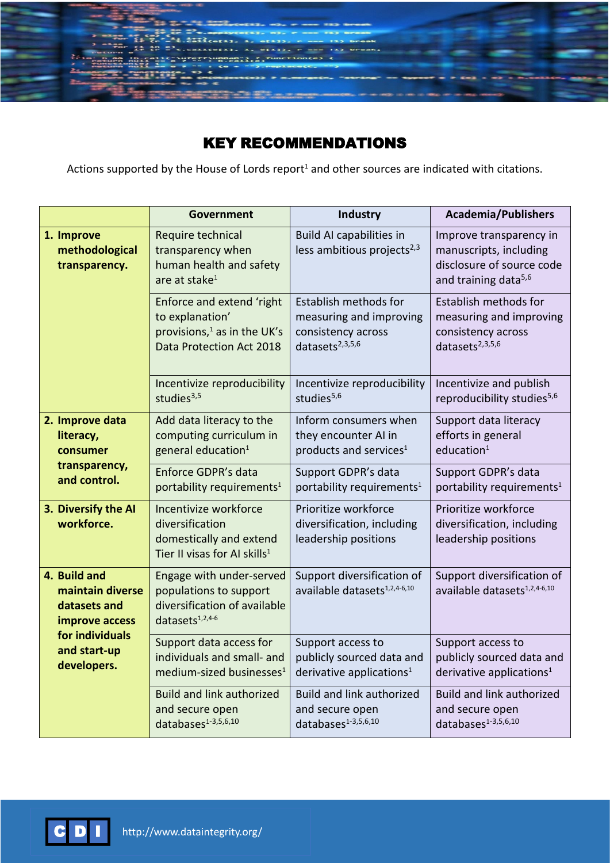

# KEY RECOMMENDATIONS

Actions supported by the House of Lords report<sup>1</sup> and other sources are indicated with citations.

|                                                                                                                      | Government                                                                                                          | Industry                                                                                              | <b>Academia/Publishers</b>                                                                                         |
|----------------------------------------------------------------------------------------------------------------------|---------------------------------------------------------------------------------------------------------------------|-------------------------------------------------------------------------------------------------------|--------------------------------------------------------------------------------------------------------------------|
| 1. Improve<br>methodological<br>transparency.                                                                        | Require technical<br>transparency when<br>human health and safety<br>are at stake $1$                               | <b>Build AI capabilities in</b><br>less ambitious projects <sup>2,3</sup>                             | Improve transparency in<br>manuscripts, including<br>disclosure of source code<br>and training data <sup>5,6</sup> |
|                                                                                                                      | Enforce and extend 'right<br>to explanation'<br>provisions, <sup>1</sup> as in the UK's<br>Data Protection Act 2018 | Establish methods for<br>measuring and improving<br>consistency across<br>datasets <sup>2,3,5,6</sup> | Establish methods for<br>measuring and improving<br>consistency across<br>datasets <sup>2,3,5,6</sup>              |
|                                                                                                                      | Incentivize reproducibility<br>studies $3,5$                                                                        | Incentivize reproducibility<br>studies <sup>5,6</sup>                                                 | Incentivize and publish<br>reproducibility studies <sup>5,6</sup>                                                  |
| 2. Improve data<br>literacy,<br>consumer<br>transparency,<br>and control.                                            | Add data literacy to the<br>computing curriculum in<br>general education <sup>1</sup>                               | Inform consumers when<br>they encounter AI in<br>products and services <sup>1</sup>                   | Support data literacy<br>efforts in general<br>education <sup>1</sup>                                              |
|                                                                                                                      | Enforce GDPR's data<br>portability requirements <sup>1</sup>                                                        | Support GDPR's data<br>portability requirements <sup>1</sup>                                          | Support GDPR's data<br>portability requirements <sup>1</sup>                                                       |
| 3. Diversify the AI<br>workforce.                                                                                    | Incentivize workforce<br>diversification<br>domestically and extend<br>Tier II visas for AI skills <sup>1</sup>     | Prioritize workforce<br>diversification, including<br>leadership positions                            | Prioritize workforce<br>diversification, including<br>leadership positions                                         |
| 4. Build and<br>maintain diverse<br>datasets and<br>improve access<br>for individuals<br>and start-up<br>developers. | Engage with under-served<br>populations to support<br>diversification of available<br>datasets <sup>1,2,4-6</sup>   | Support diversification of<br>available datasets <sup>1,2,4-6,10</sup>                                | Support diversification of<br>available datasets <sup>1,2,4-6,10</sup>                                             |
|                                                                                                                      | Support data access for<br>individuals and small- and<br>medium-sized businesses <sup>1</sup>                       | Support access to<br>publicly sourced data and<br>derivative applications <sup>1</sup>                | Support access to<br>publicly sourced data and<br>derivative applications <sup>1</sup>                             |
|                                                                                                                      | <b>Build and link authorized</b><br>and secure open<br>databases <sup>1-3,5,6,10</sup>                              | <b>Build and link authorized</b><br>and secure open<br>databases <sup>1-3,5,6,10</sup>                | <b>Build and link authorized</b><br>and secure open<br>databases <sup>1-3,5,6,10</sup>                             |